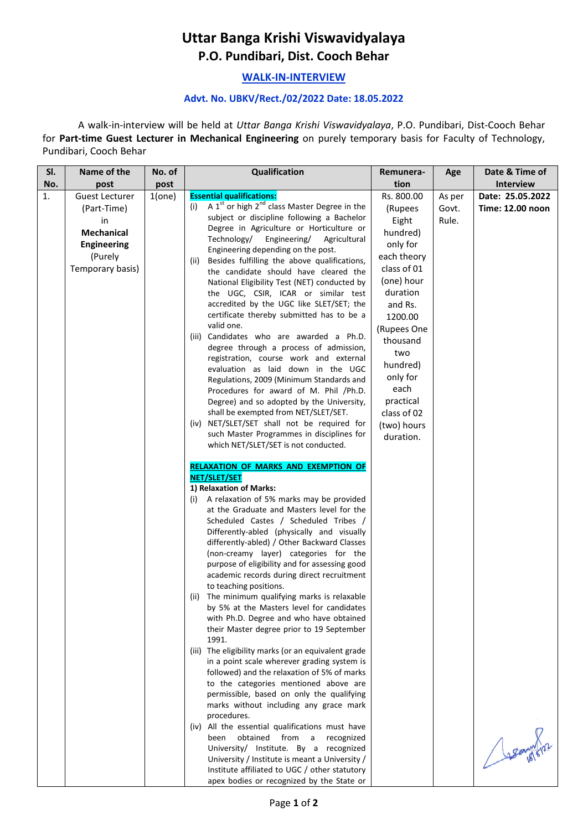## **Uttar Banga Krishi Viswavidyalaya P.O. Pundibari, Dist. Cooch Behar**

## **WALK-IN-INTERVIEW**

## **Advt. No. UBKV/Rect./02/2022 Date: 18.05.2022**

A walk-in-interview will be held at *Uttar Banga Krishi Viswavidyalaya*, P.O. Pundibari, Dist-Cooch Behar for **Part-time Guest Lecturer in Mechanical Engineering** on purely temporary basis for Faculty of Technology, Pundibari, Cooch Behar

| SI. | Name of the                                                                                                   | No. of | Qualification                                                                                                                                                                                                                                                                                                                                                                                                                                                                                                                                                                                                                                                                                                                                                                                                                                                                                                                                                                                                                                                                                                                                                                                                                                                                                                                                                                                                                                                                                                                                                                                                                                                                                                                                                                                                                                                                                                                                                                                                                                                           | Remunera-                                                                                                                                                                                                                                                      | Age                      | Date & Time of                       |
|-----|---------------------------------------------------------------------------------------------------------------|--------|-------------------------------------------------------------------------------------------------------------------------------------------------------------------------------------------------------------------------------------------------------------------------------------------------------------------------------------------------------------------------------------------------------------------------------------------------------------------------------------------------------------------------------------------------------------------------------------------------------------------------------------------------------------------------------------------------------------------------------------------------------------------------------------------------------------------------------------------------------------------------------------------------------------------------------------------------------------------------------------------------------------------------------------------------------------------------------------------------------------------------------------------------------------------------------------------------------------------------------------------------------------------------------------------------------------------------------------------------------------------------------------------------------------------------------------------------------------------------------------------------------------------------------------------------------------------------------------------------------------------------------------------------------------------------------------------------------------------------------------------------------------------------------------------------------------------------------------------------------------------------------------------------------------------------------------------------------------------------------------------------------------------------------------------------------------------------|----------------------------------------------------------------------------------------------------------------------------------------------------------------------------------------------------------------------------------------------------------------|--------------------------|--------------------------------------|
| No. | post                                                                                                          | post   |                                                                                                                                                                                                                                                                                                                                                                                                                                                                                                                                                                                                                                                                                                                                                                                                                                                                                                                                                                                                                                                                                                                                                                                                                                                                                                                                                                                                                                                                                                                                                                                                                                                                                                                                                                                                                                                                                                                                                                                                                                                                         | tion                                                                                                                                                                                                                                                           |                          | <b>Interview</b>                     |
| 1.  | <b>Guest Lecturer</b><br>(Part-Time)<br>in<br>Mechanical<br><b>Engineering</b><br>(Purely<br>Temporary basis) | 1(one) | <b>Essential qualifications:</b><br>A $1st$ or high $2nd$ class Master Degree in the<br>(i)<br>subject or discipline following a Bachelor<br>Degree in Agriculture or Horticulture or<br>Technology/<br>Engineering/<br>Agricultural<br>Engineering depending on the post.<br>Besides fulfilling the above qualifications,<br>(ii)<br>the candidate should have cleared the<br>National Eligibility Test (NET) conducted by<br>the UGC, CSIR, ICAR or similar test<br>accredited by the UGC like SLET/SET; the<br>certificate thereby submitted has to be a<br>valid one.<br>(iii) Candidates who are awarded a Ph.D.<br>degree through a process of admission,<br>registration, course work and external<br>evaluation as laid down in the UGC<br>Regulations, 2009 (Minimum Standards and<br>Procedures for award of M. Phil /Ph.D.<br>Degree) and so adopted by the University,<br>shall be exempted from NET/SLET/SET.<br>(iv) NET/SLET/SET shall not be required for<br>such Master Programmes in disciplines for<br>which NET/SLET/SET is not conducted.<br><b>RELAXATION OF MARKS AND EXEMPTION OF</b><br>NET/SLET/SET<br>1) Relaxation of Marks:<br>A relaxation of 5% marks may be provided<br>(i)<br>at the Graduate and Masters level for the<br>Scheduled Castes / Scheduled Tribes /<br>Differently-abled (physically and visually<br>differently-abled) / Other Backward Classes<br>(non-creamy layer) categories for the<br>purpose of eligibility and for assessing good<br>academic records during direct recruitment<br>to teaching positions.<br>The minimum qualifying marks is relaxable<br>(ii)<br>by 5% at the Masters level for candidates<br>with Ph.D. Degree and who have obtained<br>their Master degree prior to 19 September<br>1991.<br>(iii) The eligibility marks (or an equivalent grade<br>in a point scale wherever grading system is<br>followed) and the relaxation of 5% of marks<br>to the categories mentioned above are<br>permissible, based on only the qualifying<br>marks without including any grace mark<br>procedures. | Rs. 800.00<br>(Rupees<br>Eight<br>hundred)<br>only for<br>each theory<br>class of 01<br>(one) hour<br>duration<br>and Rs.<br>1200.00<br>(Rupees One<br>thousand<br>two<br>hundred)<br>only for<br>each<br>practical<br>class of 02<br>(two) hours<br>duration. | As per<br>Govt.<br>Rule. | Date: 25.05.2022<br>Time: 12.00 noon |
|     |                                                                                                               |        | (iv) All the essential qualifications must have<br>obtained from a<br>been<br>recognized<br>University/ Institute. By a recognized<br>University / Institute is meant a University /                                                                                                                                                                                                                                                                                                                                                                                                                                                                                                                                                                                                                                                                                                                                                                                                                                                                                                                                                                                                                                                                                                                                                                                                                                                                                                                                                                                                                                                                                                                                                                                                                                                                                                                                                                                                                                                                                    |                                                                                                                                                                                                                                                                |                          |                                      |
|     |                                                                                                               |        | Institute affiliated to UGC / other statutory<br>apex bodies or recognized by the State or                                                                                                                                                                                                                                                                                                                                                                                                                                                                                                                                                                                                                                                                                                                                                                                                                                                                                                                                                                                                                                                                                                                                                                                                                                                                                                                                                                                                                                                                                                                                                                                                                                                                                                                                                                                                                                                                                                                                                                              |                                                                                                                                                                                                                                                                |                          |                                      |